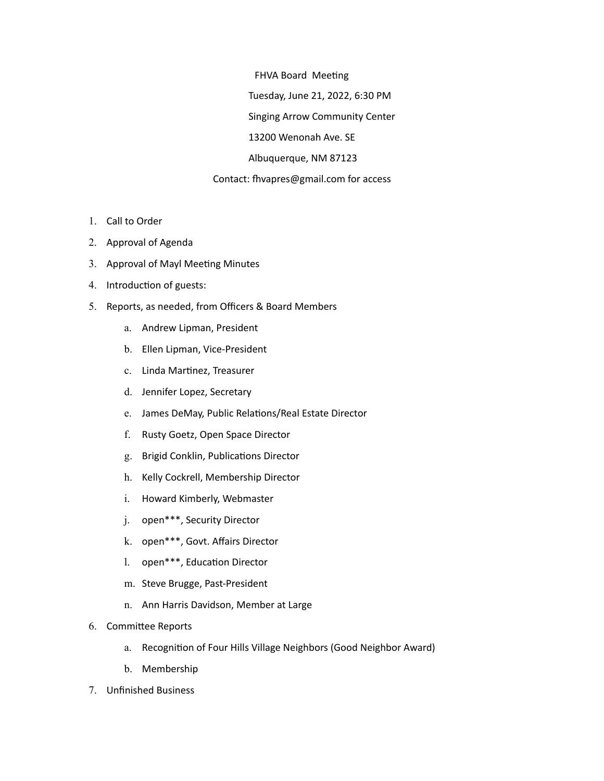FHVA Board Meeting

Tuesday, June 21, 2022, 6:30 PM

Singing Arrow Community Center

13200 Wenonah Ave. SE

Albuquerque, NM 87123

## Contact: fhvapres@gmail.com for access

- 1. Call to Order
- 2. Approval of Agenda
- 3. Approval of Mayl Meeting Minutes
- 4. Introduction of guests:
- 5. Reports, as needed, from Officers & Board Members
	- a. Andrew Lipman, President
	- b. Ellen Lipman, Vice-President
	- c. Linda Martinez, Treasurer
	- d. Jennifer Lopez, Secretary
	- e. James DeMay, Public Relations/Real Estate Director
	- f. Rusty Goetz, Open Space Director
	- g. Brigid Conklin, Publications Director
	- h. Kelly Cockrell, Membership Director
	- i. Howard Kimberly, Webmaster
	- j. open\*\*\*, Security Director
	- k. open\*\*\*, Govt. Affairs Director
	- l. open\*\*\*, Education Director
	- m. Steve Brugge, Past-President
	- n. Ann Harris Davidson, Member at Large
- 6. Committee Reports
	- a. Recognition of Four Hills Village Neighbors (Good Neighbor Award)
	- b. Membership
- 7. Unfinished Business